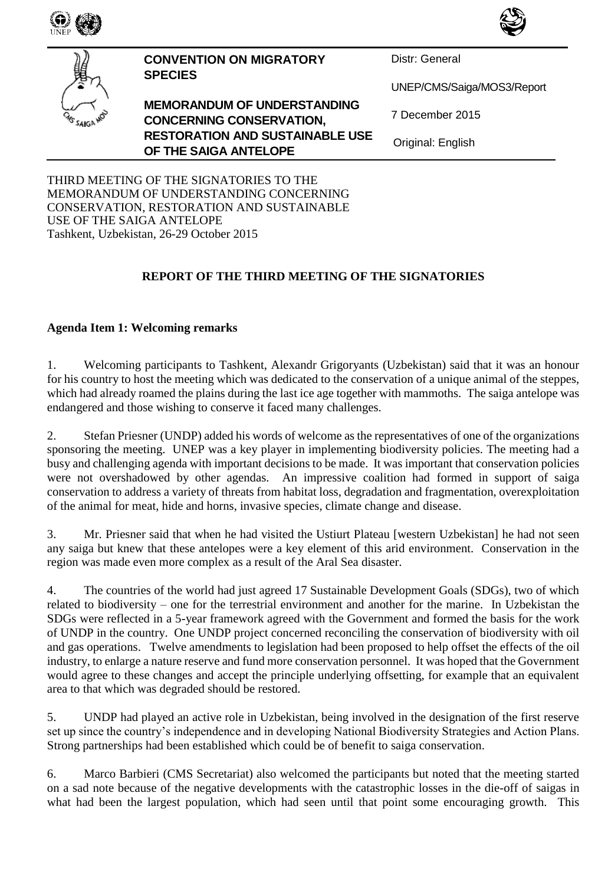



**CONVENTION ON MIGRATORY SPECIES**

**MEMORANDUM OF UNDERSTANDING CONCERNING CONSERVATION, RESTORATION AND SUSTAINABLE USE OF THE SAIGA ANTELOPE**

Distr: General

UNEP/CMS/Saiga/MOS3/Report

7 December 2015

Original: English

THIRD MEETING OF THE SIGNATORIES TO THE MEMORANDUM OF UNDERSTANDING CONCERNING CONSERVATION, RESTORATION AND SUSTAINABLE USE OF THE SAIGA ANTELOPE Tashkent, Uzbekistan, 26-29 October 2015

## **REPORT OF THE THIRD MEETING OF THE SIGNATORIES**

## **Agenda Item 1: Welcoming remarks**

1. Welcoming participants to Tashkent, Alexandr Grigoryants (Uzbekistan) said that it was an honour for his country to host the meeting which was dedicated to the conservation of a unique animal of the steppes, which had already roamed the plains during the last ice age together with mammoths. The saiga antelope was endangered and those wishing to conserve it faced many challenges.

2. Stefan Priesner (UNDP) added his words of welcome as the representatives of one of the organizations sponsoring the meeting. UNEP was a key player in implementing biodiversity policies. The meeting had a busy and challenging agenda with important decisions to be made. It was important that conservation policies were not overshadowed by other agendas. An impressive coalition had formed in support of saiga conservation to address a variety of threats from habitat loss, degradation and fragmentation, overexploitation of the animal for meat, hide and horns, invasive species, climate change and disease.

3. Mr. Priesner said that when he had visited the Ustiurt Plateau [western Uzbekistan] he had not seen any saiga but knew that these antelopes were a key element of this arid environment. Conservation in the region was made even more complex as a result of the Aral Sea disaster.

4. The countries of the world had just agreed 17 Sustainable Development Goals (SDGs), two of which related to biodiversity – one for the terrestrial environment and another for the marine. In Uzbekistan the SDGs were reflected in a 5-year framework agreed with the Government and formed the basis for the work of UNDP in the country. One UNDP project concerned reconciling the conservation of biodiversity with oil and gas operations. Twelve amendments to legislation had been proposed to help offset the effects of the oil industry, to enlarge a nature reserve and fund more conservation personnel. It was hoped that the Government would agree to these changes and accept the principle underlying offsetting, for example that an equivalent area to that which was degraded should be restored.

5. UNDP had played an active role in Uzbekistan, being involved in the designation of the first reserve set up since the country's independence and in developing National Biodiversity Strategies and Action Plans. Strong partnerships had been established which could be of benefit to saiga conservation.

6. Marco Barbieri (CMS Secretariat) also welcomed the participants but noted that the meeting started on a sad note because of the negative developments with the catastrophic losses in the die-off of saigas in what had been the largest population, which had seen until that point some encouraging growth. This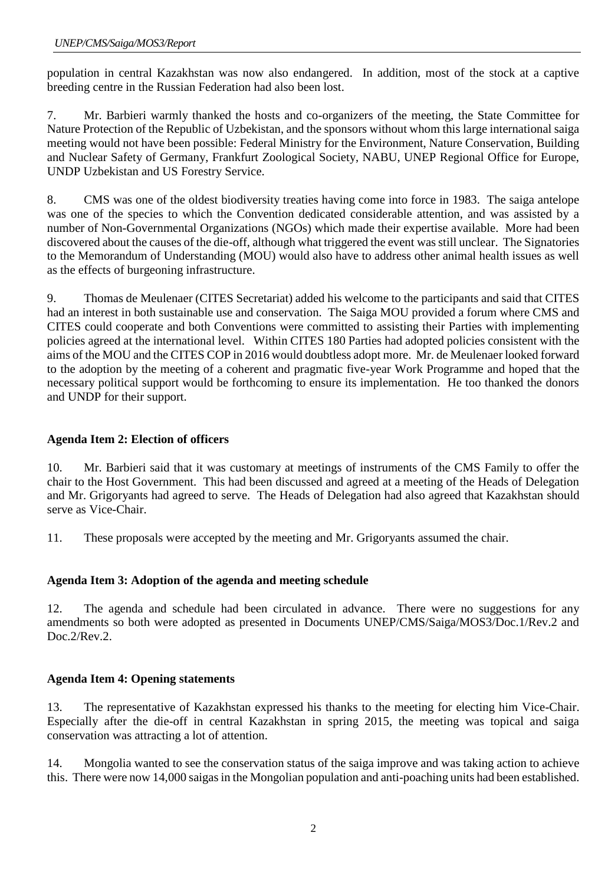population in central Kazakhstan was now also endangered. In addition, most of the stock at a captive breeding centre in the Russian Federation had also been lost.

7. Mr. Barbieri warmly thanked the hosts and co-organizers of the meeting, the State Committee for Nature Protection of the Republic of Uzbekistan, and the sponsors without whom this large international saiga meeting would not have been possible: Federal Ministry for the Environment, Nature Conservation, Building and Nuclear Safety of Germany, Frankfurt Zoological Society, NABU, UNEP Regional Office for Europe, UNDP Uzbekistan and US Forestry Service.

8. CMS was one of the oldest biodiversity treaties having come into force in 1983. The saiga antelope was one of the species to which the Convention dedicated considerable attention, and was assisted by a number of Non-Governmental Organizations (NGOs) which made their expertise available. More had been discovered about the causes of the die-off, although what triggered the event was still unclear. The Signatories to the Memorandum of Understanding (MOU) would also have to address other animal health issues as well as the effects of burgeoning infrastructure.

9. Thomas de Meulenaer (CITES Secretariat) added his welcome to the participants and said that CITES had an interest in both sustainable use and conservation. The Saiga MOU provided a forum where CMS and CITES could cooperate and both Conventions were committed to assisting their Parties with implementing policies agreed at the international level. Within CITES 180 Parties had adopted policies consistent with the aims of the MOU and the CITES COP in 2016 would doubtless adopt more. Mr. de Meulenaer looked forward to the adoption by the meeting of a coherent and pragmatic five-year Work Programme and hoped that the necessary political support would be forthcoming to ensure its implementation. He too thanked the donors and UNDP for their support.

# **Agenda Item 2: Election of officers**

10. Mr. Barbieri said that it was customary at meetings of instruments of the CMS Family to offer the chair to the Host Government. This had been discussed and agreed at a meeting of the Heads of Delegation and Mr. Grigoryants had agreed to serve. The Heads of Delegation had also agreed that Kazakhstan should serve as Vice-Chair.

11. These proposals were accepted by the meeting and Mr. Grigoryants assumed the chair.

### **Agenda Item 3: Adoption of the agenda and meeting schedule**

12. The agenda and schedule had been circulated in advance. There were no suggestions for any amendments so both were adopted as presented in Documents UNEP/CMS/Saiga/MOS3/Doc.1/Rev.2 and Doc.2/Rev.2.

### **Agenda Item 4: Opening statements**

13. The representative of Kazakhstan expressed his thanks to the meeting for electing him Vice-Chair. Especially after the die-off in central Kazakhstan in spring 2015, the meeting was topical and saiga conservation was attracting a lot of attention.

14. Mongolia wanted to see the conservation status of the saiga improve and was taking action to achieve this. There were now 14,000 saigas in the Mongolian population and anti-poaching units had been established.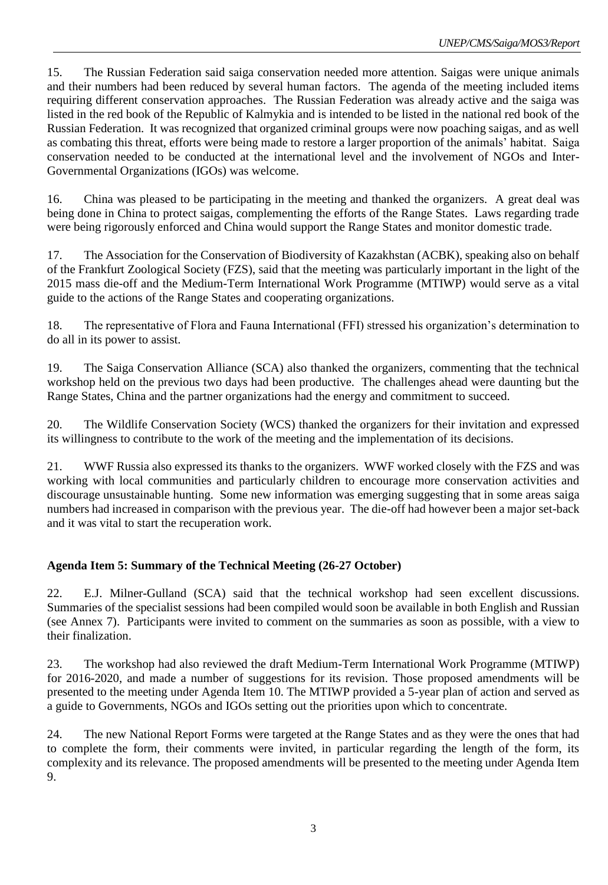15. The Russian Federation said saiga conservation needed more attention. Saigas were unique animals and their numbers had been reduced by several human factors. The agenda of the meeting included items requiring different conservation approaches. The Russian Federation was already active and the saiga was listed in the red book of the Republic of Kalmykia and is intended to be listed in the national red book of the Russian Federation. It was recognized that organized criminal groups were now poaching saigas, and as well as combating this threat, efforts were being made to restore a larger proportion of the animals' habitat. Saiga conservation needed to be conducted at the international level and the involvement of NGOs and Inter-Governmental Organizations (IGOs) was welcome.

16. China was pleased to be participating in the meeting and thanked the organizers. A great deal was being done in China to protect saigas, complementing the efforts of the Range States. Laws regarding trade were being rigorously enforced and China would support the Range States and monitor domestic trade.

17. The Association for the Conservation of Biodiversity of Kazakhstan (ACBK), speaking also on behalf of the Frankfurt Zoological Society (FZS), said that the meeting was particularly important in the light of the 2015 mass die-off and the Medium-Term International Work Programme (MTIWP) would serve as a vital guide to the actions of the Range States and cooperating organizations.

18. The representative of Flora and Fauna International (FFI) stressed his organization's determination to do all in its power to assist.

19. The Saiga Conservation Alliance (SCA) also thanked the organizers, commenting that the technical workshop held on the previous two days had been productive. The challenges ahead were daunting but the Range States, China and the partner organizations had the energy and commitment to succeed.

20. The Wildlife Conservation Society (WCS) thanked the organizers for their invitation and expressed its willingness to contribute to the work of the meeting and the implementation of its decisions.

21. WWF Russia also expressed its thanks to the organizers. WWF worked closely with the FZS and was working with local communities and particularly children to encourage more conservation activities and discourage unsustainable hunting. Some new information was emerging suggesting that in some areas saiga numbers had increased in comparison with the previous year. The die-off had however been a major set-back and it was vital to start the recuperation work.

### **Agenda Item 5: Summary of the Technical Meeting (26-27 October)**

22. E.J. Milner-Gulland (SCA) said that the technical workshop had seen excellent discussions. Summaries of the specialist sessions had been compiled would soon be available in both English and Russian (see Annex 7). Participants were invited to comment on the summaries as soon as possible, with a view to their finalization.

23. The workshop had also reviewed the draft Medium-Term International Work Programme (MTIWP) for 2016-2020, and made a number of suggestions for its revision. Those proposed amendments will be presented to the meeting under Agenda Item 10. The MTIWP provided a 5-year plan of action and served as a guide to Governments, NGOs and IGOs setting out the priorities upon which to concentrate.

24. The new National Report Forms were targeted at the Range States and as they were the ones that had to complete the form, their comments were invited, in particular regarding the length of the form, its complexity and its relevance. The proposed amendments will be presented to the meeting under Agenda Item 9.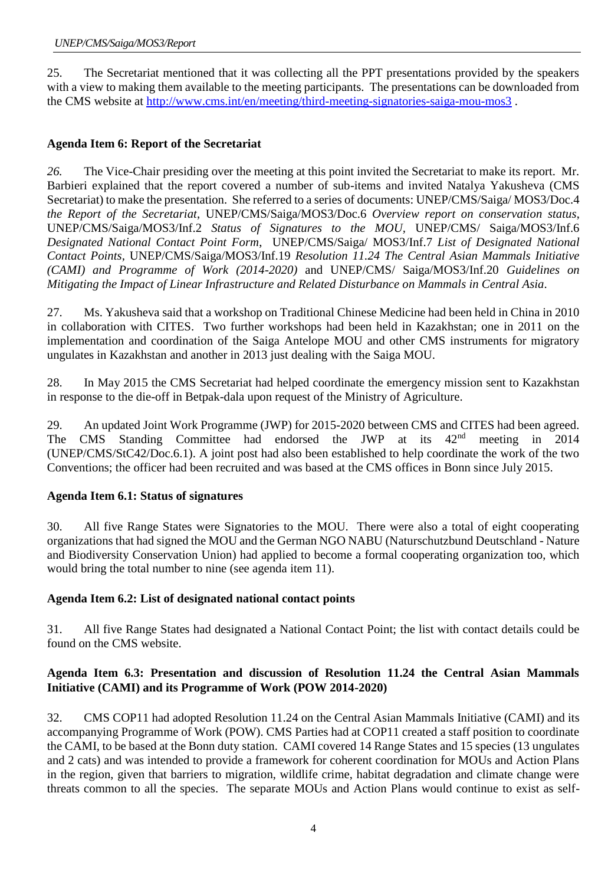25. The Secretariat mentioned that it was collecting all the PPT presentations provided by the speakers with a view to making them available to the meeting participants. The presentations can be downloaded from the CMS website at<http://www.cms.int/en/meeting/third-meeting-signatories-saiga-mou-mos3> .

## **Agenda Item 6: Report of the Secretariat**

*26.* The Vice-Chair presiding over the meeting at this point invited the Secretariat to make its report. Mr. Barbieri explained that the report covered a number of sub-items and invited Natalya Yakusheva (CMS Secretariat) to make the presentation. She referred to a series of documents: UNEP/CMS/Saiga/ MOS3/Doc.4 *the Report of the Secretariat*, UNEP/CMS/Saiga/MOS3/Doc.6 *Overview report on conservation status*, UNEP/CMS/Saiga/MOS3/Inf.2 *[Status of Signatures to the MOU,](http://cms.int/saiga/en/document/status-signatures-memorandum-understanding-conservation-restoration-and-sustainable-use-1)* UNEP/CMS/ Saiga/MOS3/Inf.6 *[Designated National Contact Point Form](http://cms.int/saiga/en/document/designated-national-contact-point-form-3)*, UNEP/CMS/Saiga/ MOS3/Inf.7 *[List of Designated National](http://cms.int/saiga/en/document/list-designated-national-contact-points-7)  [Contact Points,](http://cms.int/saiga/en/document/list-designated-national-contact-points-7)* UNEP/CMS/Saiga/MOS3/Inf.19 *[Resolution 11.24 The Central Asian Mammals Initiative](http://cms.int/saiga/en/document/resolution-1124-central-asian-mammals-initiative-cami-and-programme-work-2014-2020)  [\(CAMI\) and Programme of Work \(2014-2020\)](http://cms.int/saiga/en/document/resolution-1124-central-asian-mammals-initiative-cami-and-programme-work-2014-2020)* and UNEP/CMS/ Saiga/MOS3/Inf.20 *[Guidelines on](http://cms.int/saiga/en/document/guidelines-mitigating-impact-linear-infrastructure-and-related-disturbance-mammals-central)  [Mitigating the Impact of Linear Infrastructure and Related Disturbance on Mammals in Central Asia.](http://cms.int/saiga/en/document/guidelines-mitigating-impact-linear-infrastructure-and-related-disturbance-mammals-central)*

27. Ms. Yakusheva said that a workshop on Traditional Chinese Medicine had been held in China in 2010 in collaboration with CITES. Two further workshops had been held in Kazakhstan; one in 2011 [on the](http://www.cms.int/saiga/en/meeting/workshop-implementation-and-coordination-saiga-antelope-saiga-spp-memorandum-understanding)  [implementation and coordination of the Saiga Antelope MOU and other CMS instruments for migratory](http://www.cms.int/saiga/en/meeting/workshop-implementation-and-coordination-saiga-antelope-saiga-spp-memorandum-understanding)  [ungulates in Kazakhstan](http://www.cms.int/saiga/en/meeting/workshop-implementation-and-coordination-saiga-antelope-saiga-spp-memorandum-understanding) and another in 2013 just dealing with the Saiga MOU.

28. In May 2015 the CMS Secretariat had helped coordinate the emergency mission sent to Kazakhstan in response to the die-off in Betpak-dala upon request of the Ministry of Agriculture.

29. An updated Joint Work Programme (JWP) for 2015-2020 between CMS and CITES had been agreed. The CMS Standing Committee had endorsed the JWP at its 42<sup>nd</sup> meeting in 2014 (UNEP/CMS/StC42/Doc.6.1). A joint post had also been established to help coordinate the work of the two Conventions; the officer had been recruited and was based at the CMS offices in Bonn since July 2015.

### **Agenda Item 6.1: Status of signatures**

30. All five Range States were Signatories to the MOU. There were also a total of eight cooperating organizations that had signed the MOU and the German NGO NABU (Naturschutzbund Deutschland - Nature and Biodiversity Conservation Union) had applied to become a formal cooperating organization too, which would bring the total number to nine (see agenda item 11).

### **Agenda Item 6.2: List of designated national contact points**

31. All five Range States had designated a National Contact Point; the list with contact details could be found on the CMS website.

### **Agenda Item 6.3: Presentation and discussion of Resolution 11.24 the Central Asian Mammals Initiative (CAMI) and its Programme of Work (POW 2014-2020)**

32. CMS COP11 had adopted Resolution 11.24 on the Central Asian Mammals Initiative (CAMI) and its accompanying Programme of Work (POW). CMS Parties had at COP11 created a staff position to coordinate the CAMI, to be based at the Bonn duty station. CAMI covered 14 Range States and 15 species (13 ungulates and 2 cats) and was intended to provide a framework for coherent coordination for MOUs and Action Plans in the region, given that barriers to migration, wildlife crime, habitat degradation and climate change were threats common to all the species. The separate MOUs and Action Plans would continue to exist as self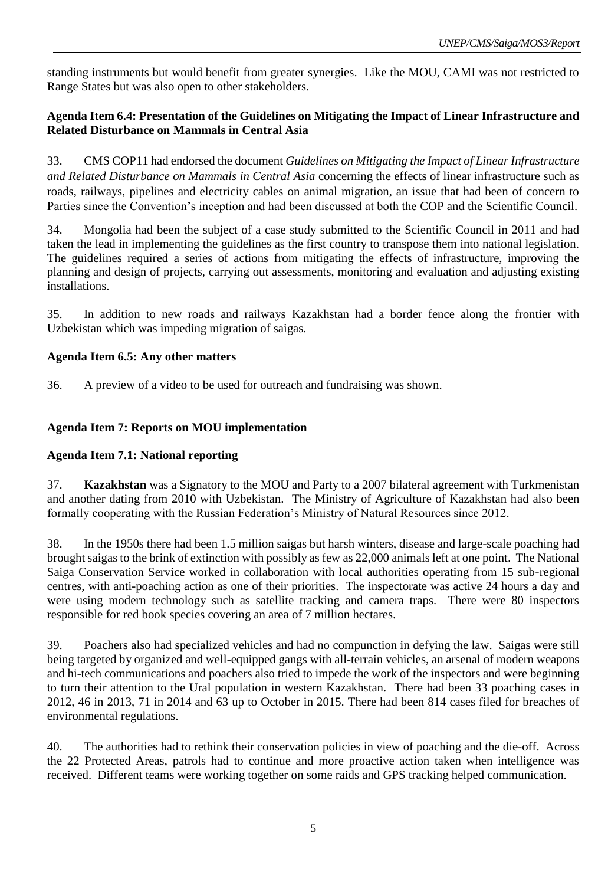standing instruments but would benefit from greater synergies. Like the MOU, CAMI was not restricted to Range States but was also open to other stakeholders.

### **Agenda Item 6.4: Presentation of the Guidelines on Mitigating the Impact of Linear Infrastructure and Related Disturbance on Mammals in Central Asia**

33. CMS COP11 had endorsed the document *Guidelines on Mitigating the Impact of Linear Infrastructure and Related Disturbance on Mammals in Central Asia* concerning the effects of linear infrastructure such as roads, railways, pipelines and electricity cables on animal migration, an issue that had been of concern to Parties since the Convention's inception and had been discussed at both the COP and the Scientific Council.

34. Mongolia had been the subject of a case study submitted to the Scientific Council in 2011 and had taken the lead in implementing the guidelines as the first country to transpose them into national legislation. The guidelines required a series of actions from mitigating the effects of infrastructure, improving the planning and design of projects, carrying out assessments, monitoring and evaluation and adjusting existing installations.

35. In addition to new roads and railways Kazakhstan had a border fence along the frontier with Uzbekistan which was impeding migration of saigas.

### **Agenda Item 6.5: Any other matters**

36. A preview of a video to be used for outreach and fundraising was shown.

### **Agenda Item 7: Reports on MOU implementation**

### **Agenda Item 7.1: National reporting**

37. **Kazakhstan** was a Signatory to the MOU and Party to a 2007 bilateral agreement with Turkmenistan and another dating from 2010 with Uzbekistan. The Ministry of Agriculture of Kazakhstan had also been formally cooperating with the Russian Federation's Ministry of Natural Resources since 2012.

38. In the 1950s there had been 1.5 million saigas but harsh winters, disease and large-scale poaching had brought saigas to the brink of extinction with possibly as few as 22,000 animals left at one point. The National Saiga Conservation Service worked in collaboration with local authorities operating from 15 sub-regional centres, with anti-poaching action as one of their priorities. The inspectorate was active 24 hours a day and were using modern technology such as satellite tracking and camera traps. There were 80 inspectors responsible for red book species covering an area of 7 million hectares.

39. Poachers also had specialized vehicles and had no compunction in defying the law. Saigas were still being targeted by organized and well-equipped gangs with all-terrain vehicles, an arsenal of modern weapons and hi-tech communications and poachers also tried to impede the work of the inspectors and were beginning to turn their attention to the Ural population in western Kazakhstan. There had been 33 poaching cases in 2012, 46 in 2013, 71 in 2014 and 63 up to October in 2015. There had been 814 cases filed for breaches of environmental regulations.

40. The authorities had to rethink their conservation policies in view of poaching and the die-off. Across the 22 Protected Areas, patrols had to continue and more proactive action taken when intelligence was received. Different teams were working together on some raids and GPS tracking helped communication.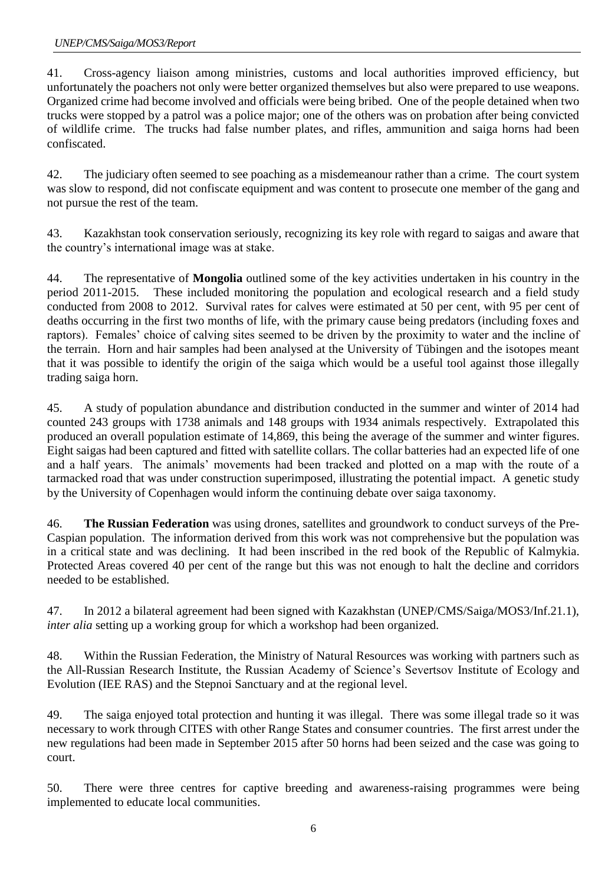41. Cross-agency liaison among ministries, customs and local authorities improved efficiency, but unfortunately the poachers not only were better organized themselves but also were prepared to use weapons. Organized crime had become involved and officials were being bribed. One of the people detained when two trucks were stopped by a patrol was a police major; one of the others was on probation after being convicted of wildlife crime. The trucks had false number plates, and rifles, ammunition and saiga horns had been confiscated.

42. The judiciary often seemed to see poaching as a misdemeanour rather than a crime. The court system was slow to respond, did not confiscate equipment and was content to prosecute one member of the gang and not pursue the rest of the team.

43. Kazakhstan took conservation seriously, recognizing its key role with regard to saigas and aware that the country's international image was at stake.

44. The representative of **Mongolia** outlined some of the key activities undertaken in his country in the period 2011-2015. These included monitoring the population and ecological research and a field study conducted from 2008 to 2012. Survival rates for calves were estimated at 50 per cent, with 95 per cent of deaths occurring in the first two months of life, with the primary cause being predators (including foxes and raptors). Females' choice of calving sites seemed to be driven by the proximity to water and the incline of the terrain. Horn and hair samples had been analysed at the University of Tübingen and the isotopes meant that it was possible to identify the origin of the saiga which would be a useful tool against those illegally trading saiga horn.

45. A study of population abundance and distribution conducted in the summer and winter of 2014 had counted 243 groups with 1738 animals and 148 groups with 1934 animals respectively. Extrapolated this produced an overall population estimate of 14,869, this being the average of the summer and winter figures. Eight saigas had been captured and fitted with satellite collars. The collar batteries had an expected life of one and a half years. The animals' movements had been tracked and plotted on a map with the route of a tarmacked road that was under construction superimposed, illustrating the potential impact. A genetic study by the University of Copenhagen would inform the continuing debate over saiga taxonomy.

46. **The Russian Federation** was using drones, satellites and groundwork to conduct surveys of the Pre-Caspian population. The information derived from this work was not comprehensive but the population was in a critical state and was declining. It had been inscribed in the red book of the Republic of Kalmykia. Protected Areas covered 40 per cent of the range but this was not enough to halt the decline and corridors needed to be established.

47. In 2012 a bilateral agreement had been signed with Kazakhstan (UNEP/CMS/Saiga/MOS3/Inf.21.1), *inter alia* setting up a working group for which a workshop had been organized.

48. Within the Russian Federation, the Ministry of Natural Resources was working with partners such as the All-Russian Research Institute, the Russian Academy of Science's Severtsov Institute of Ecology and Evolution (IEE RAS) and the Stepnoi Sanctuary and at the regional level.

49. The saiga enjoyed total protection and hunting it was illegal. There was some illegal trade so it was necessary to work through CITES with other Range States and consumer countries. The first arrest under the new regulations had been made in September 2015 after 50 horns had been seized and the case was going to court.

50. There were three centres for captive breeding and awareness-raising programmes were being implemented to educate local communities.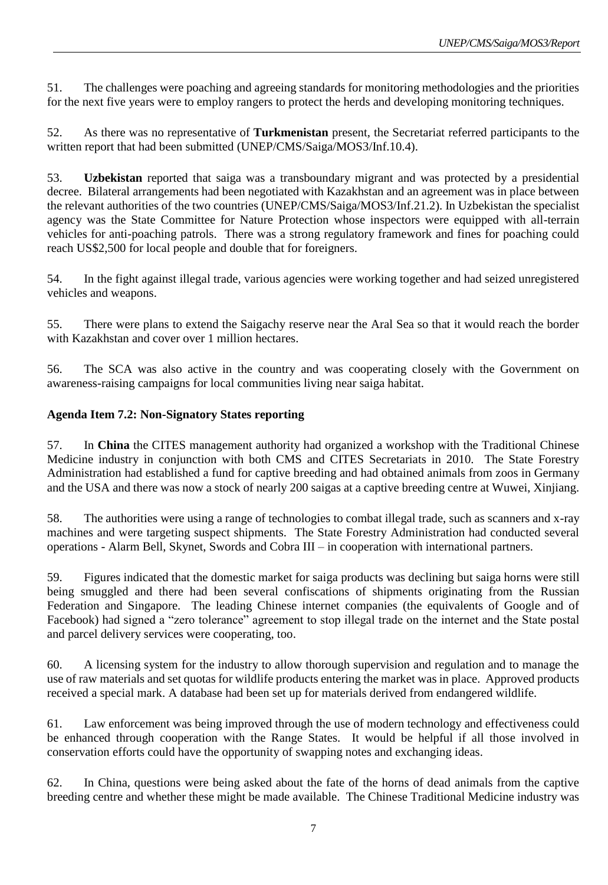51. The challenges were poaching and agreeing standards for monitoring methodologies and the priorities for the next five years were to employ rangers to protect the herds and developing monitoring techniques.

52. As there was no representative of **Turkmenistan** present, the Secretariat referred participants to the written report that had been submitted (UNEP/CMS/Saiga/MOS3/Inf.10.4).

53. **Uzbekistan** reported that saiga was a transboundary migrant and was protected by a presidential decree. Bilateral arrangements had been negotiated with Kazakhstan and an agreement was in place between the relevant authorities of the two countries (UNEP/CMS/Saiga/MOS3/Inf.21.2). In Uzbekistan the specialist agency was the State Committee for Nature Protection whose inspectors were equipped with all-terrain vehicles for anti-poaching patrols. There was a strong regulatory framework and fines for poaching could reach US\$2,500 for local people and double that for foreigners.

54. In the fight against illegal trade, various agencies were working together and had seized unregistered vehicles and weapons.

55. There were plans to extend the Saigachy reserve near the Aral Sea so that it would reach the border with Kazakhstan and cover over 1 million hectares.

56. The SCA was also active in the country and was cooperating closely with the Government on awareness-raising campaigns for local communities living near saiga habitat.

#### **Agenda Item 7.2: Non-Signatory States reporting**

57. In **China** the CITES management authority had organized a workshop with the Traditional Chinese Medicine industry in conjunction with both CMS and CITES Secretariats in 2010. The State Forestry Administration had established a fund for captive breeding and had obtained animals from zoos in Germany and the USA and there was now a stock of nearly 200 saigas at a captive breeding centre at Wuwei, Xinjiang.

58. The authorities were using a range of technologies to combat illegal trade, such as scanners and x-ray machines and were targeting suspect shipments. The State Forestry Administration had conducted several operations - Alarm Bell, Skynet, Swords and Cobra III – in cooperation with international partners.

59. Figures indicated that the domestic market for saiga products was declining but saiga horns were still being smuggled and there had been several confiscations of shipments originating from the Russian Federation and Singapore. The leading Chinese internet companies (the equivalents of Google and of Facebook) had signed a "zero tolerance" agreement to stop illegal trade on the internet and the State postal and parcel delivery services were cooperating, too.

60. A licensing system for the industry to allow thorough supervision and regulation and to manage the use of raw materials and set quotas for wildlife products entering the market was in place. Approved products received a special mark. A database had been set up for materials derived from endangered wildlife.

61. Law enforcement was being improved through the use of modern technology and effectiveness could be enhanced through cooperation with the Range States. It would be helpful if all those involved in conservation efforts could have the opportunity of swapping notes and exchanging ideas.

62. In China, questions were being asked about the fate of the horns of dead animals from the captive breeding centre and whether these might be made available. The Chinese Traditional Medicine industry was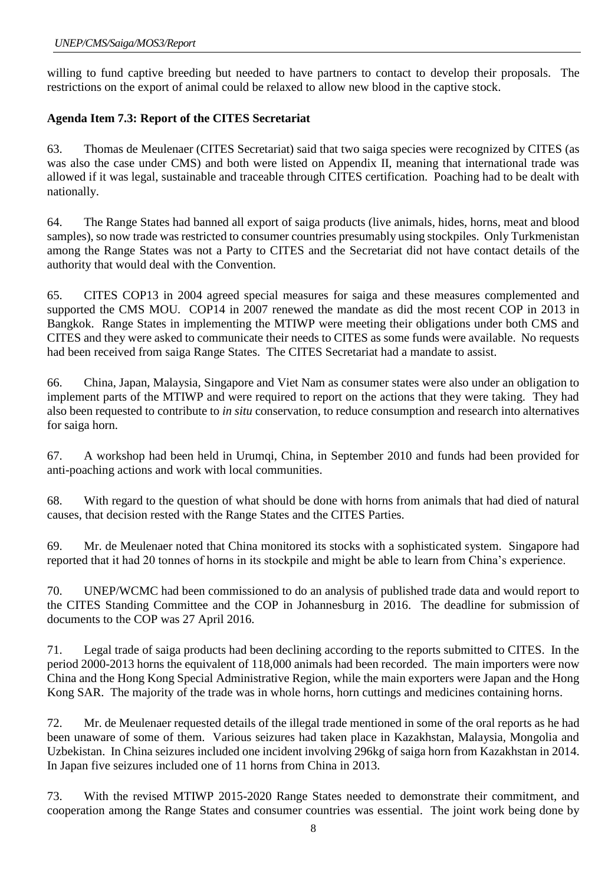willing to fund captive breeding but needed to have partners to contact to develop their proposals. The restrictions on the export of animal could be relaxed to allow new blood in the captive stock.

## **Agenda Item 7.3: Report of the CITES Secretariat**

63. Thomas de Meulenaer (CITES Secretariat) said that two saiga species were recognized by CITES (as was also the case under CMS) and both were listed on Appendix II, meaning that international trade was allowed if it was legal, sustainable and traceable through CITES certification. Poaching had to be dealt with nationally.

64. The Range States had banned all export of saiga products (live animals, hides, horns, meat and blood samples), so now trade was restricted to consumer countries presumably using stockpiles. Only Turkmenistan among the Range States was not a Party to CITES and the Secretariat did not have contact details of the authority that would deal with the Convention.

65. CITES COP13 in 2004 agreed special measures for saiga and these measures complemented and supported the CMS MOU. COP14 in 2007 renewed the mandate as did the most recent COP in 2013 in Bangkok. Range States in implementing the MTIWP were meeting their obligations under both CMS and CITES and they were asked to communicate their needs to CITES as some funds were available. No requests had been received from saiga Range States. The CITES Secretariat had a mandate to assist.

66. China, Japan, Malaysia, Singapore and Viet Nam as consumer states were also under an obligation to implement parts of the MTIWP and were required to report on the actions that they were taking. They had also been requested to contribute to *in situ* conservation, to reduce consumption and research into alternatives for saiga horn.

67. A workshop had been held in Urumqi, China, in September 2010 and funds had been provided for anti-poaching actions and work with local communities.

68. With regard to the question of what should be done with horns from animals that had died of natural causes, that decision rested with the Range States and the CITES Parties.

69. Mr. de Meulenaer noted that China monitored its stocks with a sophisticated system. Singapore had reported that it had 20 tonnes of horns in its stockpile and might be able to learn from China's experience.

70. UNEP/WCMC had been commissioned to do an analysis of published trade data and would report to the CITES Standing Committee and the COP in Johannesburg in 2016. The deadline for submission of documents to the COP was 27 April 2016.

71. Legal trade of saiga products had been declining according to the reports submitted to CITES. In the period 2000-2013 horns the equivalent of 118,000 animals had been recorded. The main importers were now China and the Hong Kong Special Administrative Region, while the main exporters were Japan and the Hong Kong SAR. The majority of the trade was in whole horns, horn cuttings and medicines containing horns.

72. Mr. de Meulenaer requested details of the illegal trade mentioned in some of the oral reports as he had been unaware of some of them. Various seizures had taken place in Kazakhstan, Malaysia, Mongolia and Uzbekistan. In China seizures included one incident involving 296kg of saiga horn from Kazakhstan in 2014. In Japan five seizures included one of 11 horns from China in 2013.

73. With the revised MTIWP 2015-2020 Range States needed to demonstrate their commitment, and cooperation among the Range States and consumer countries was essential. The joint work being done by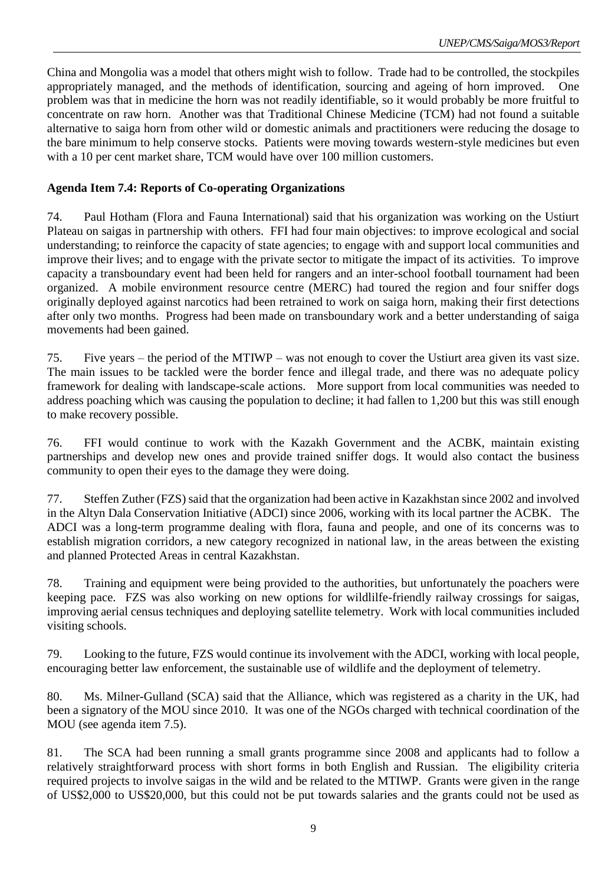China and Mongolia was a model that others might wish to follow. Trade had to be controlled, the stockpiles appropriately managed, and the methods of identification, sourcing and ageing of horn improved. One problem was that in medicine the horn was not readily identifiable, so it would probably be more fruitful to concentrate on raw horn. Another was that Traditional Chinese Medicine (TCM) had not found a suitable alternative to saiga horn from other wild or domestic animals and practitioners were reducing the dosage to the bare minimum to help conserve stocks. Patients were moving towards western-style medicines but even with a 10 per cent market share, TCM would have over 100 million customers.

#### **Agenda Item 7.4: Reports of Co-operating Organizations**

74. Paul Hotham (Flora and Fauna International) said that his organization was working on the Ustiurt Plateau on saigas in partnership with others. FFI had four main objectives: to improve ecological and social understanding; to reinforce the capacity of state agencies; to engage with and support local communities and improve their lives; and to engage with the private sector to mitigate the impact of its activities. To improve capacity a transboundary event had been held for rangers and an inter-school football tournament had been organized. A mobile environment resource centre (MERC) had toured the region and four sniffer dogs originally deployed against narcotics had been retrained to work on saiga horn, making their first detections after only two months. Progress had been made on transboundary work and a better understanding of saiga movements had been gained.

75. Five years – the period of the MTIWP – was not enough to cover the Ustiurt area given its vast size. The main issues to be tackled were the border fence and illegal trade, and there was no adequate policy framework for dealing with landscape-scale actions. More support from local communities was needed to address poaching which was causing the population to decline; it had fallen to 1,200 but this was still enough to make recovery possible.

76. FFI would continue to work with the Kazakh Government and the ACBK, maintain existing partnerships and develop new ones and provide trained sniffer dogs. It would also contact the business community to open their eyes to the damage they were doing.

77. Steffen Zuther (FZS) said that the organization had been active in Kazakhstan since 2002 and involved in the Altyn Dala Conservation Initiative (ADCI) since 2006, working with its local partner the ACBK. The ADCI was a long-term programme dealing with flora, fauna and people, and one of its concerns was to establish migration corridors, a new category recognized in national law, in the areas between the existing and planned Protected Areas in central Kazakhstan.

78. Training and equipment were being provided to the authorities, but unfortunately the poachers were keeping pace. FZS was also working on new options for wildlilfe-friendly railway crossings for saigas, improving aerial census techniques and deploying satellite telemetry. Work with local communities included visiting schools.

79. Looking to the future, FZS would continue its involvement with the ADCI, working with local people, encouraging better law enforcement, the sustainable use of wildlife and the deployment of telemetry.

80. Ms. Milner-Gulland (SCA) said that the Alliance, which was registered as a charity in the UK, had been a signatory of the MOU since 2010. It was one of the NGOs charged with technical coordination of the MOU (see agenda item 7.5).

81. The SCA had been running a small grants programme since 2008 and applicants had to follow a relatively straightforward process with short forms in both English and Russian. The eligibility criteria required projects to involve saigas in the wild and be related to the MTIWP. Grants were given in the range of US\$2,000 to US\$20,000, but this could not be put towards salaries and the grants could not be used as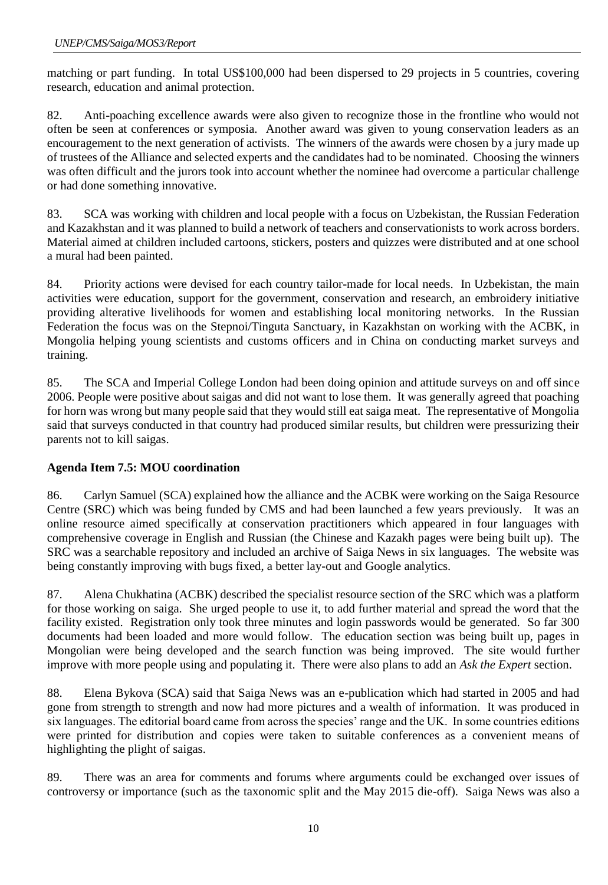matching or part funding. In total US\$100,000 had been dispersed to 29 projects in 5 countries, covering research, education and animal protection.

82. Anti-poaching excellence awards were also given to recognize those in the frontline who would not often be seen at conferences or symposia. Another award was given to young conservation leaders as an encouragement to the next generation of activists. The winners of the awards were chosen by a jury made up of trustees of the Alliance and selected experts and the candidates had to be nominated. Choosing the winners was often difficult and the jurors took into account whether the nominee had overcome a particular challenge or had done something innovative.

83. SCA was working with children and local people with a focus on Uzbekistan, the Russian Federation and Kazakhstan and it was planned to build a network of teachers and conservationists to work across borders. Material aimed at children included cartoons, stickers, posters and quizzes were distributed and at one school a mural had been painted.

84. Priority actions were devised for each country tailor-made for local needs. In Uzbekistan, the main activities were education, support for the government, conservation and research, an embroidery initiative providing alterative livelihoods for women and establishing local monitoring networks. In the Russian Federation the focus was on the Stepnoi/Tinguta Sanctuary, in Kazakhstan on working with the ACBK, in Mongolia helping young scientists and customs officers and in China on conducting market surveys and training.

85. The SCA and Imperial College London had been doing opinion and attitude surveys on and off since 2006. People were positive about saigas and did not want to lose them. It was generally agreed that poaching for horn was wrong but many people said that they would still eat saiga meat. The representative of Mongolia said that surveys conducted in that country had produced similar results, but children were pressurizing their parents not to kill saigas.

### **Agenda Item 7.5: MOU coordination**

86. Carlyn Samuel (SCA) explained how the alliance and the ACBK were working on the Saiga Resource Centre (SRC) which was being funded by CMS and had been launched a few years previously. It was an online resource aimed specifically at conservation practitioners which appeared in four languages with comprehensive coverage in English and Russian (the Chinese and Kazakh pages were being built up). The SRC was a searchable repository and included an archive of Saiga News in six languages. The website was being constantly improving with bugs fixed, a better lay-out and Google analytics.

87. Alena Chukhatina (ACBK) described the specialist resource section of the SRC which was a platform for those working on saiga. She urged people to use it, to add further material and spread the word that the facility existed. Registration only took three minutes and login passwords would be generated. So far 300 documents had been loaded and more would follow. The education section was being built up, pages in Mongolian were being developed and the search function was being improved. The site would further improve with more people using and populating it. There were also plans to add an *Ask the Expert* section.

88. Elena Bykova (SCA) said that Saiga News was an e-publication which had started in 2005 and had gone from strength to strength and now had more pictures and a wealth of information. It was produced in six languages. The editorial board came from across the species' range and the UK. In some countries editions were printed for distribution and copies were taken to suitable conferences as a convenient means of highlighting the plight of saigas.

89. There was an area for comments and forums where arguments could be exchanged over issues of controversy or importance (such as the taxonomic split and the May 2015 die-off). Saiga News was also a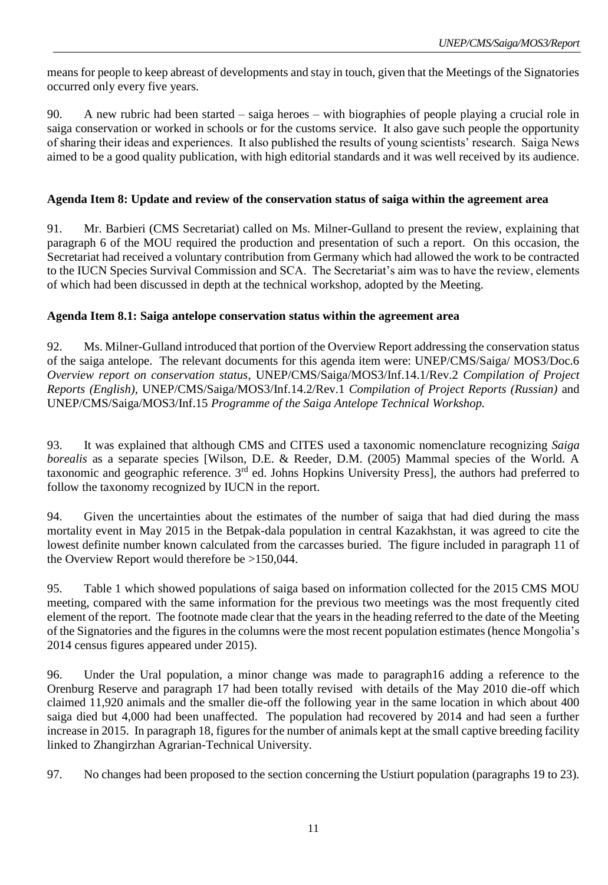means for people to keep abreast of developments and stay in touch, given that the Meetings of the Signatories occurred only every five years.

90. A new rubric had been started – saiga heroes – with biographies of people playing a crucial role in saiga conservation or worked in schools or for the customs service. It also gave such people the opportunity of sharing their ideas and experiences. It also published the results of young scientists' research. Saiga News aimed to be a good quality publication, with high editorial standards and it was well received by its audience.

### **Agenda Item 8: Update and review of the conservation status of saiga within the agreement area**

91. Mr. Barbieri (CMS Secretariat) called on Ms. Milner-Gulland to present the review, explaining that paragraph 6 of the MOU required the production and presentation of such a report. On this occasion, the Secretariat had received a voluntary contribution from Germany which had allowed the work to be contracted to the IUCN Species Survival Commission and SCA. The Secretariat's aim was to have the review, elements of which had been discussed in depth at the technical workshop, adopted by the Meeting.

### **Agenda Item 8.1: Saiga antelope conservation status within the agreement area**

92. Ms. Milner-Gulland introduced that portion of the Overview Report addressing the conservation status of the saiga antelope. The relevant documents for this agenda item were: UNEP/CMS/Saiga/ MOS3/Doc.6 *[Overview report on conservation status](http://www.cms.int/en/document/overview-report-conservation-status)*, UNEP/CMS/Saiga/MOS3/Inf.14.1/Rev.2 *Compilation of Project Reports (English),* UNEP/CMS/Saiga/MOS3/Inf.14.2/Rev.1 *Compilation of Project Reports (Russian)* and UNEP/CMS/Saiga/MOS3/Inf.15 *Programme of the Saiga Antelope Technical Workshop.*

93. It was explained that although CMS and CITES used a taxonomic nomenclature recognizing *Saiga borealis* as a separate species [Wilson, D.E. & Reeder, D.M. (2005) Mammal species of the World. A taxonomic and geographic reference. 3<sup>rd</sup> ed. Johns Hopkins University Press], the authors had preferred to follow the taxonomy recognized by IUCN in the report.

94. Given the uncertainties about the estimates of the number of saiga that had died during the mass mortality event in May 2015 in the Betpak-dala population in central Kazakhstan, it was agreed to cite the lowest definite number known calculated from the carcasses buried. The figure included in paragraph 11 of the Overview Report would therefore be >150,044.

95. Table 1 which showed populations of saiga based on information collected for the 2015 CMS MOU meeting, compared with the same information for the previous two meetings was the most frequently cited element of the report. The footnote made clear that the years in the heading referred to the date of the Meeting of the Signatories and the figures in the columns were the most recent population estimates (hence Mongolia's 2014 census figures appeared under 2015).

96. Under the Ural population, a minor change was made to paragraph16 adding a reference to the Orenburg Reserve and paragraph 17 had been totally revised with details of the May 2010 die-off which claimed 11,920 animals and the smaller die-off the following year in the same location in which about 400 saiga died but 4,000 had been unaffected. The population had recovered by 2014 and had seen a further increase in 2015. In paragraph 18, figures for the number of animals kept at the small captive breeding facility linked to Zhangirzhan Agrarian-Technical University.

97. No changes had been proposed to the section concerning the Ustiurt population (paragraphs 19 to 23).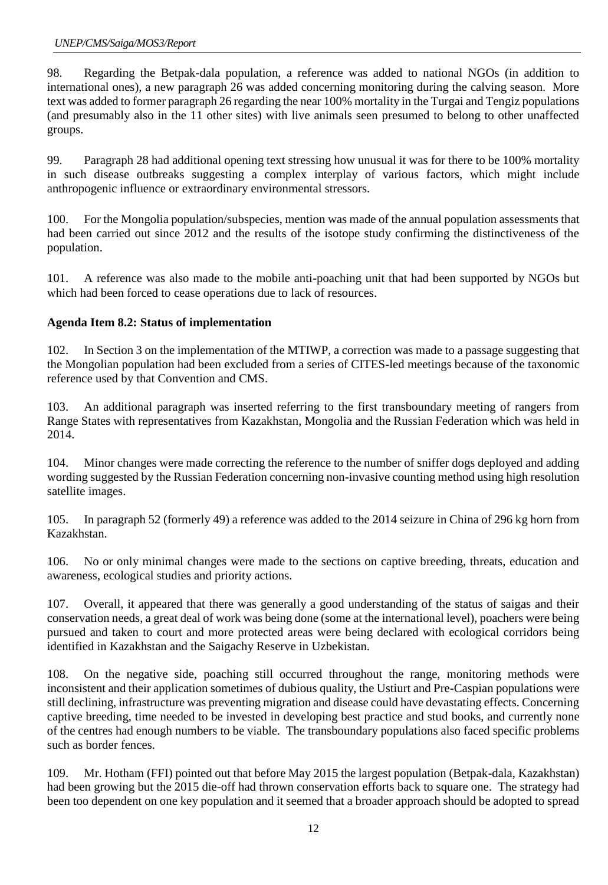98. Regarding the Betpak-dala population, a reference was added to national NGOs (in addition to international ones), a new paragraph 26 was added concerning monitoring during the calving season. More text was added to former paragraph 26 regarding the near 100% mortality in the Turgai and Tengiz populations (and presumably also in the 11 other sites) with live animals seen presumed to belong to other unaffected groups.

99. Paragraph 28 had additional opening text stressing how unusual it was for there to be 100% mortality in such disease outbreaks suggesting a complex interplay of various factors, which might include anthropogenic influence or extraordinary environmental stressors.

100. For the Mongolia population/subspecies, mention was made of the annual population assessments that had been carried out since 2012 and the results of the isotope study confirming the distinctiveness of the population.

101. A reference was also made to the mobile anti-poaching unit that had been supported by NGOs but which had been forced to cease operations due to lack of resources.

## **Agenda Item 8.2: Status of implementation**

102. In Section 3 on the implementation of the MTIWP, a correction was made to a passage suggesting that the Mongolian population had been excluded from a series of CITES-led meetings because of the taxonomic reference used by that Convention and CMS.

103. An additional paragraph was inserted referring to the first transboundary meeting of rangers from Range States with representatives from Kazakhstan, Mongolia and the Russian Federation which was held in 2014.

104. Minor changes were made correcting the reference to the number of sniffer dogs deployed and adding wording suggested by the Russian Federation concerning non-invasive counting method using high resolution satellite images.

105. In paragraph 52 (formerly 49) a reference was added to the 2014 seizure in China of 296 kg horn from Kazakhstan.

106. No or only minimal changes were made to the sections on captive breeding, threats, education and awareness, ecological studies and priority actions.

107. Overall, it appeared that there was generally a good understanding of the status of saigas and their conservation needs, a great deal of work was being done (some at the international level), poachers were being pursued and taken to court and more protected areas were being declared with ecological corridors being identified in Kazakhstan and the Saigachy Reserve in Uzbekistan.

108. On the negative side, poaching still occurred throughout the range, monitoring methods were inconsistent and their application sometimes of dubious quality, the Ustiurt and Pre-Caspian populations were still declining, infrastructure was preventing migration and disease could have devastating effects. Concerning captive breeding, time needed to be invested in developing best practice and stud books, and currently none of the centres had enough numbers to be viable. The transboundary populations also faced specific problems such as border fences.

109. Mr. Hotham (FFI) pointed out that before May 2015 the largest population (Betpak-dala, Kazakhstan) had been growing but the 2015 die-off had thrown conservation efforts back to square one. The strategy had been too dependent on one key population and it seemed that a broader approach should be adopted to spread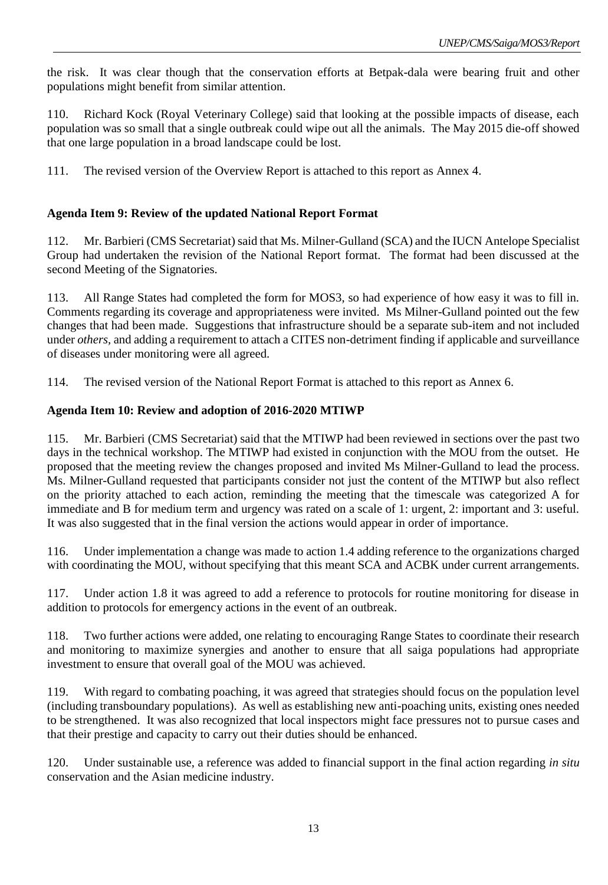the risk. It was clear though that the conservation efforts at Betpak-dala were bearing fruit and other populations might benefit from similar attention.

110. Richard Kock (Royal Veterinary College) said that looking at the possible impacts of disease, each population was so small that a single outbreak could wipe out all the animals. The May 2015 die-off showed that one large population in a broad landscape could be lost.

111. The revised version of the Overview Report is attached to this report as Annex 4.

#### **Agenda Item 9: Review of the updated National Report Format**

112. Mr. Barbieri (CMS Secretariat) said that Ms. Milner-Gulland (SCA) and the IUCN Antelope Specialist Group had undertaken the revision of the National Report format. The format had been discussed at the second Meeting of the Signatories.

113. All Range States had completed the form for MOS3, so had experience of how easy it was to fill in. Comments regarding its coverage and appropriateness were invited. Ms Milner-Gulland pointed out the few changes that had been made. Suggestions that infrastructure should be a separate sub-item and not included under *others,* and adding a requirement to attach a CITES non-detriment finding if applicable and surveillance of diseases under monitoring were all agreed.

114. The revised version of the National Report Format is attached to this report as Annex 6.

#### **Agenda Item 10: Review and adoption of 2016-2020 MTIWP**

115. Mr. Barbieri (CMS Secretariat) said that the MTIWP had been reviewed in sections over the past two days in the technical workshop. The MTIWP had existed in conjunction with the MOU from the outset. He proposed that the meeting review the changes proposed and invited Ms Milner-Gulland to lead the process. Ms. Milner-Gulland requested that participants consider not just the content of the MTIWP but also reflect on the priority attached to each action, reminding the meeting that the timescale was categorized A for immediate and B for medium term and urgency was rated on a scale of 1: urgent, 2: important and 3: useful. It was also suggested that in the final version the actions would appear in order of importance.

116. Under implementation a change was made to action 1.4 adding reference to the organizations charged with coordinating the MOU, without specifying that this meant SCA and ACBK under current arrangements.

117. Under action 1.8 it was agreed to add a reference to protocols for routine monitoring for disease in addition to protocols for emergency actions in the event of an outbreak.

118. Two further actions were added, one relating to encouraging Range States to coordinate their research and monitoring to maximize synergies and another to ensure that all saiga populations had appropriate investment to ensure that overall goal of the MOU was achieved.

119. With regard to combating poaching, it was agreed that strategies should focus on the population level (including transboundary populations). As well as establishing new anti-poaching units, existing ones needed to be strengthened. It was also recognized that local inspectors might face pressures not to pursue cases and that their prestige and capacity to carry out their duties should be enhanced.

120. Under sustainable use, a reference was added to financial support in the final action regarding *in situ* conservation and the Asian medicine industry.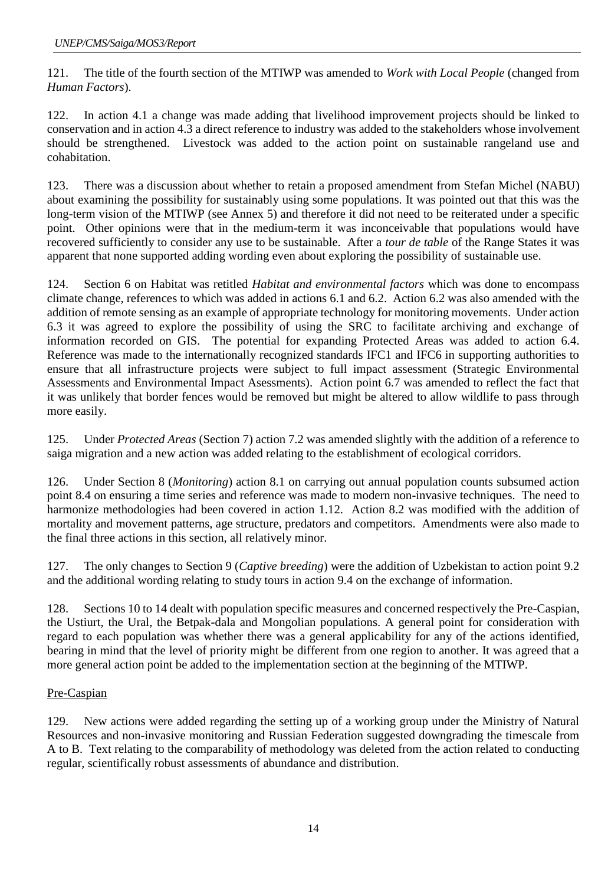121. The title of the fourth section of the MTIWP was amended to *Work with Local People* (changed from *Human Factors*).

122. In action 4.1 a change was made adding that livelihood improvement projects should be linked to conservation and in action 4.3 a direct reference to industry was added to the stakeholders whose involvement should be strengthened. Livestock was added to the action point on sustainable rangeland use and cohabitation.

123. There was a discussion about whether to retain a proposed amendment from Stefan Michel (NABU) about examining the possibility for sustainably using some populations. It was pointed out that this was the long-term vision of the MTIWP (see Annex 5) and therefore it did not need to be reiterated under a specific point. Other opinions were that in the medium-term it was inconceivable that populations would have recovered sufficiently to consider any use to be sustainable. After a *tour de table* of the Range States it was apparent that none supported adding wording even about exploring the possibility of sustainable use.

124. Section 6 on Habitat was retitled *Habitat and environmental factors* which was done to encompass climate change, references to which was added in actions 6.1 and 6.2. Action 6.2 was also amended with the addition of remote sensing as an example of appropriate technology for monitoring movements. Under action 6.3 it was agreed to explore the possibility of using the SRC to facilitate archiving and exchange of information recorded on GIS. The potential for expanding Protected Areas was added to action 6.4. Reference was made to the internationally recognized standards IFC1 and IFC6 in supporting authorities to ensure that all infrastructure projects were subject to full impact assessment (Strategic Environmental Assessments and Environmental Impact Asessments). Action point 6.7 was amended to reflect the fact that it was unlikely that border fences would be removed but might be altered to allow wildlife to pass through more easily.

125. Under *Protected Areas* (Section 7) action 7.2 was amended slightly with the addition of a reference to saiga migration and a new action was added relating to the establishment of ecological corridors.

126. Under Section 8 (*Monitoring*) action 8.1 on carrying out annual population counts subsumed action point 8.4 on ensuring a time series and reference was made to modern non-invasive techniques. The need to harmonize methodologies had been covered in action 1.12. Action 8.2 was modified with the addition of mortality and movement patterns, age structure, predators and competitors. Amendments were also made to the final three actions in this section, all relatively minor.

127. The only changes to Section 9 (*Captive breeding*) were the addition of Uzbekistan to action point 9.2 and the additional wording relating to study tours in action 9.4 on the exchange of information.

128. Sections 10 to 14 dealt with population specific measures and concerned respectively the Pre-Caspian, the Ustiurt, the Ural, the Betpak-dala and Mongolian populations. A general point for consideration with regard to each population was whether there was a general applicability for any of the actions identified, bearing in mind that the level of priority might be different from one region to another. It was agreed that a more general action point be added to the implementation section at the beginning of the MTIWP.

### Pre-Caspian

129. New actions were added regarding the setting up of a working group under the Ministry of Natural Resources and non-invasive monitoring and Russian Federation suggested downgrading the timescale from A to B. Text relating to the comparability of methodology was deleted from the action related to conducting regular, scientifically robust assessments of abundance and distribution.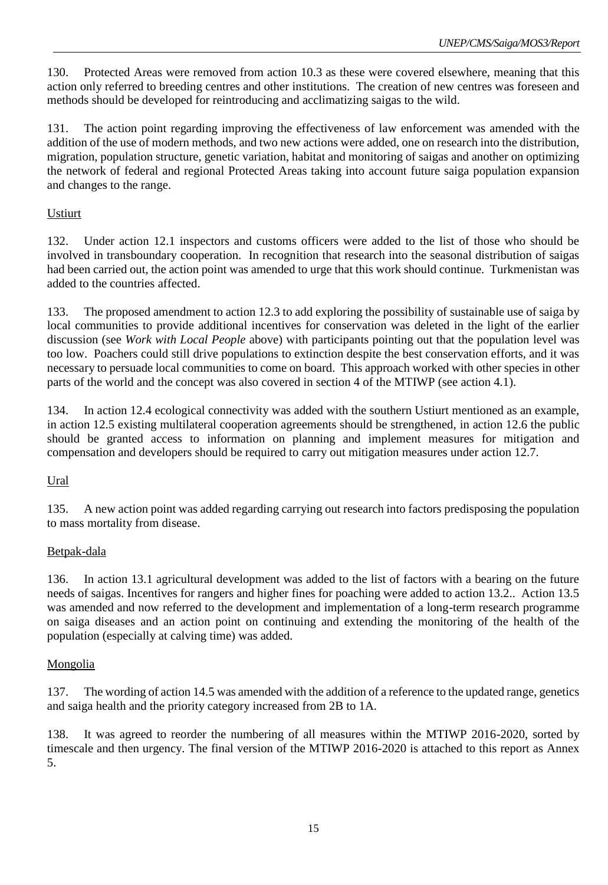130. Protected Areas were removed from action 10.3 as these were covered elsewhere, meaning that this action only referred to breeding centres and other institutions. The creation of new centres was foreseen and methods should be developed for reintroducing and acclimatizing saigas to the wild.

131. The action point regarding improving the effectiveness of law enforcement was amended with the addition of the use of modern methods, and two new actions were added, one on research into the distribution, migration, population structure, genetic variation, habitat and monitoring of saigas and another on optimizing the network of federal and regional Protected Areas taking into account future saiga population expansion and changes to the range.

### Ustiurt

132. Under action 12.1 inspectors and customs officers were added to the list of those who should be involved in transboundary cooperation. In recognition that research into the seasonal distribution of saigas had been carried out, the action point was amended to urge that this work should continue. Turkmenistan was added to the countries affected.

133. The proposed amendment to action 12.3 to add exploring the possibility of sustainable use of saiga by local communities to provide additional incentives for conservation was deleted in the light of the earlier discussion (see *Work with Local People* above) with participants pointing out that the population level was too low. Poachers could still drive populations to extinction despite the best conservation efforts, and it was necessary to persuade local communities to come on board. This approach worked with other species in other parts of the world and the concept was also covered in section 4 of the MTIWP (see action 4.1).

134. In action 12.4 ecological connectivity was added with the southern Ustiurt mentioned as an example, in action 12.5 existing multilateral cooperation agreements should be strengthened, in action 12.6 the public should be granted access to information on planning and implement measures for mitigation and compensation and developers should be required to carry out mitigation measures under action 12.7.

### Ural

135. A new action point was added regarding carrying out research into factors predisposing the population to mass mortality from disease.

#### Betpak-dala

136. In action 13.1 agricultural development was added to the list of factors with a bearing on the future needs of saigas. Incentives for rangers and higher fines for poaching were added to action 13.2.. Action 13.5 was amended and now referred to the development and implementation of a long-term research programme on saiga diseases and an action point on continuing and extending the monitoring of the health of the population (especially at calving time) was added.

#### **Mongolia**

137. The wording of action 14.5 was amended with the addition of a reference to the updated range, genetics and saiga health and the priority category increased from 2B to 1A.

138. It was agreed to reorder the numbering of all measures within the MTIWP 2016-2020, sorted by timescale and then urgency. The final version of the MTIWP 2016-2020 is attached to this report as Annex 5.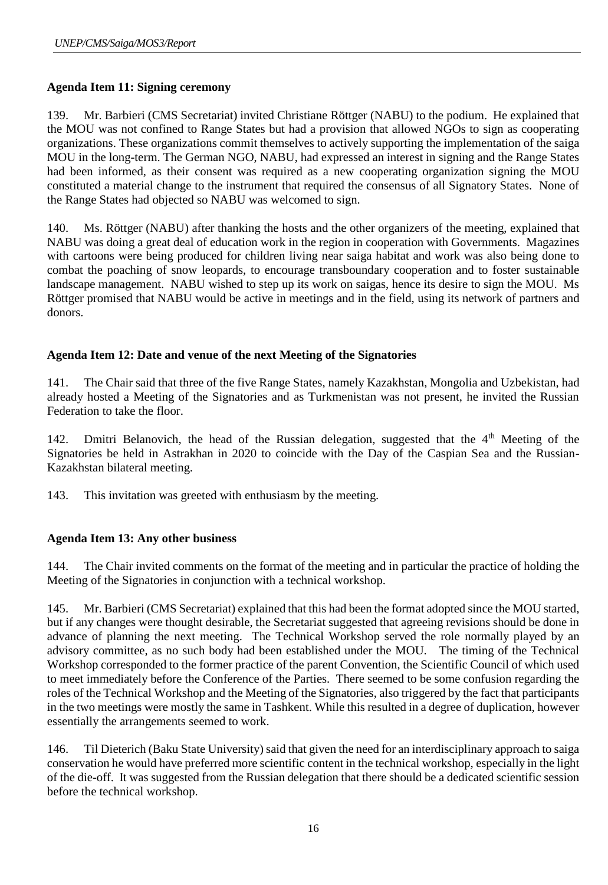## **Agenda Item 11: Signing ceremony**

139. Mr. Barbieri (CMS Secretariat) invited Christiane Röttger (NABU) to the podium. He explained that the MOU was not confined to Range States but had a provision that allowed NGOs to sign as cooperating organizations. These organizations commit themselves to actively supporting the implementation of the saiga MOU in the long-term. The German NGO, NABU, had expressed an interest in signing and the Range States had been informed, as their consent was required as a new cooperating organization signing the MOU constituted a material change to the instrument that required the consensus of all Signatory States. None of the Range States had objected so NABU was welcomed to sign.

140. Ms. Röttger (NABU) after thanking the hosts and the other organizers of the meeting, explained that NABU was doing a great deal of education work in the region in cooperation with Governments. Magazines with cartoons were being produced for children living near saiga habitat and work was also being done to combat the poaching of snow leopards, to encourage transboundary cooperation and to foster sustainable landscape management. NABU wished to step up its work on saigas, hence its desire to sign the MOU. Ms Röttger promised that NABU would be active in meetings and in the field, using its network of partners and donors.

# **Agenda Item 12: Date and venue of the next Meeting of the Signatories**

141. The Chair said that three of the five Range States, namely Kazakhstan, Mongolia and Uzbekistan, had already hosted a Meeting of the Signatories and as Turkmenistan was not present, he invited the Russian Federation to take the floor.

142. Dmitri Belanovich, the head of the Russian delegation, suggested that the 4<sup>th</sup> Meeting of the Signatories be held in Astrakhan in 2020 to coincide with the Day of the Caspian Sea and the Russian-Kazakhstan bilateral meeting.

143. This invitation was greeted with enthusiasm by the meeting.

### **Agenda Item 13: Any other business**

144. The Chair invited comments on the format of the meeting and in particular the practice of holding the Meeting of the Signatories in conjunction with a technical workshop.

145. Mr. Barbieri (CMS Secretariat) explained that this had been the format adopted since the MOU started, but if any changes were thought desirable, the Secretariat suggested that agreeing revisions should be done in advance of planning the next meeting. The Technical Workshop served the role normally played by an advisory committee, as no such body had been established under the MOU. The timing of the Technical Workshop corresponded to the former practice of the parent Convention, the Scientific Council of which used to meet immediately before the Conference of the Parties. There seemed to be some confusion regarding the roles of the Technical Workshop and the Meeting of the Signatories, also triggered by the fact that participants in the two meetings were mostly the same in Tashkent. While this resulted in a degree of duplication, however essentially the arrangements seemed to work.

146. Til Dieterich (Baku State University) said that given the need for an interdisciplinary approach to saiga conservation he would have preferred more scientific content in the technical workshop, especially in the light of the die-off. It was suggested from the Russian delegation that there should be a dedicated scientific session before the technical workshop.